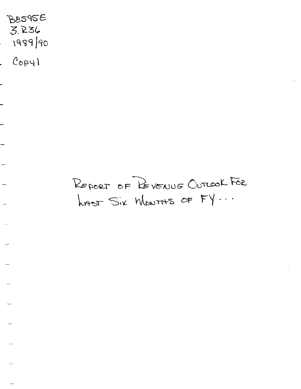$B8595E$ 3.~3{,  $1989$   $90$ 

 $1 \mu q_0$ .

-

-

REPORT OF REVENUE OUTCOOK FOR  $h$ nts Six Mowrths OF FY...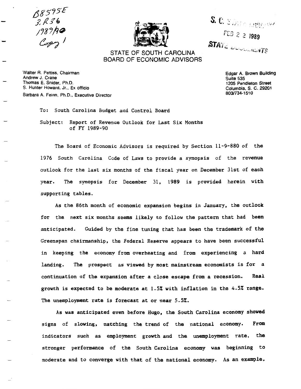/)gs?s£  $3.136$ *;?8i/lt;*   $C_{PP}$ 



S. C. Sintr. Indian FEB 2 2 1989 **STATE DUCCHERTS** 

# STATE OF SOUTH CAROLINA BOARD OF ECONOMIC ADVISORS

Walter A. Pettiss, Chairman Andrew J. Crane Thomas E. Snider, Ph.D. S. Hunter Howard, Jr., Ex officio Barbara A. Feinn, Ph.D., Executive Director Edgar A. Brown Building Suite 535 1 205 Pendleton Street Columbia, S. C. 29201 803/734-1510

To: South Carolina Budget and Control Board Subject: Report of Revenue Outlook for Last Six Months of FY 1989-90

The Board of Economic Advisors is required by Section 11-9-880 of the 1976 South Carolina Code of Laws to provide a synopsis of the revenue outlook for the last six months of the fiscal year on December 31st of each year. The synopsis for December 31. 1989 is provided herein with supporting tables.

As the 86th month of economic expansion begins in January. the outlook for the next six months seems likely to follow the pattern that had been anticipated. Guided by the fine tuning that has been the trademark of the Greenspan chairmanship. the Federal Reserve appears to have been successful in keeping the economy from overheating and from experiencing a hard landing. The prospect as viewed by most mainstream economists is for a continuation of the expansion after a close escape from a recession. Real growth is expected to be moderate at 1.5% with inflation in the 4.5% range. The unemployment rate is forecast at or near 5.5%.

As was anticipated even before Hugo, the South Carolina economy showed signs of slowing, matching the trend of the national economy. From indicators such as employment growth and the unemployment rate, the stronger performance of the South Carolina economy was beginning to moderate and to converge with that of the national economy. As an example.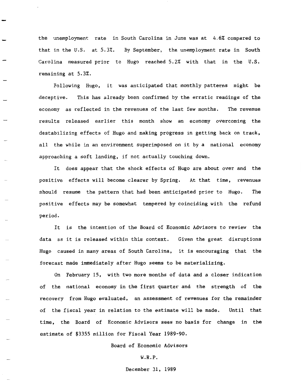the unemployment rate in South Carolina in June was at 4.6% compared to that in the U.S. at 5.3%. By September, the unemployment rate in South Carolina measured prior to Hugo reached 5.2% with that in the U.S. remaining at 5.3%.

Following Hugo, it was anticipated that monthly patterns might be deceptive. This has already been confirmed by the erratic readings of the economy as reflected in the revenues of the last few months. The revenue results released earlier this month show an economy overcoming the destabilizing effects of Hugo and making progress in getting back on track, all the while in an environment superimposed on it by a national economy approaching a soft landing, if not actually touching down.

It does appear that the shock effects of Hugo are about over and the positive effects will become clearer by Spring. At that time, revenues should resume the pattern that had been anticipated prior to Hugo. The positive effects may be somewhat tempered by coinciding with the refund period.

It is the intention of the Board of Economic Advisors to review the data as it is released within this context. Given the great disruptions Hugo caused in many areas of South Carolina, it is encouraging that the forecast made immediately after Hugo seems to be materializing.

On February 15, with two more months of data and a closer indication of the national economy in the first quarter and the strength of the recovery from Hugo evaluated, an assessment of revenues for the remainder of the fiscal year in relation to the estimate will be made. Until that time, the Board of Economic Advisors sees no basis for change in the estimate of \$3355 million for Fiscal Year 1989-90.

Board of Economic Advisors

#### W.R.P.

December 31, 1989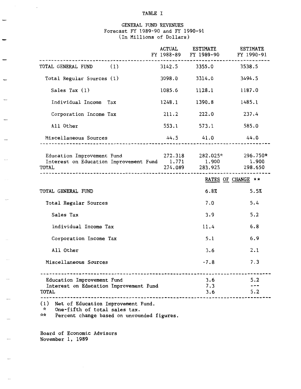# TABLE I

# GENERAL FUND REVENUES Forecast FY 1989-90 and FY 1990-91 (In Millions of Dollars)

|                                                                                                                                           | <b>ACTUAL</b> | <b>ESTIMATE</b><br>FY 1988-89 FY 1989-90 FY 1990-91        | <b>ESTIMATE</b>    |
|-------------------------------------------------------------------------------------------------------------------------------------------|---------------|------------------------------------------------------------|--------------------|
| TOTAL GENERAL FUND (1)                                                                                                                    |               | 3142.5 3355.0 3538.5                                       |                    |
| Total Regular Sources (1)                                                                                                                 |               | 3098.0 3314.0                                              | 3494.5             |
| Sales Tax $(1)$                                                                                                                           |               | 1085.6 1128.1                                              | 1187.0             |
| Individual Income Tax                                                                                                                     |               | 1248.1 1390.8                                              | 1485.1             |
| Corporation Income Tax                                                                                                                    | 211.2         | 222.0                                                      | 237.4              |
| All Other                                                                                                                                 |               | 553.1 573.1                                                | 585.0              |
| Miscellaneous Sources                                                                                                                     |               | 44.5 41.0                                                  | 44.0               |
| Education Improvement Fund<br>Interest on Education Improvement Fund 1.771 1.900 1.900<br>TOTAL<br>-------------------------------------- |               | $272.318$ $282.025*$ $296.750*$<br>274.089 283.925 298.650 |                    |
|                                                                                                                                           |               |                                                            |                    |
|                                                                                                                                           |               |                                                            | RATES OF CHANGE ** |
| TOTAL GENERAL FUND                                                                                                                        |               | 6.8%                                                       | 5.5%               |
| Total Regular Sources                                                                                                                     |               | 7.0                                                        | 5.4                |
| Sales Tax                                                                                                                                 |               | 3.9                                                        | 5.2                |
| Individual Income Tax                                                                                                                     |               | 11.4                                                       | 6.8                |
| Corporation Income Tax                                                                                                                    |               | 5.1                                                        | 6.9                |
| All Other                                                                                                                                 |               | 3.6                                                        | 2.1                |
| Miscellaneous Sources                                                                                                                     |               | $-7.8$                                                     | 7.3                |
| Education Improvement Fund<br>Interest on Education Improvement Fund<br><b>TOTAL</b>                                                      |               | 3.6<br>7.3<br>3.6                                          | 5.2<br>5.2         |

(1) Net of Education Improvement Fund. \* One-fifth of total sales tax.

\*\* Percent change based on unrounded figures.

Board of Economic Advisors November 1, 1989

 $\overline{\phantom{0}}$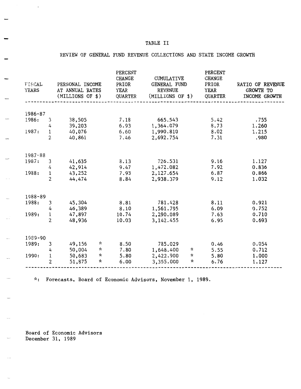# TABLE II

# REVIEW OF GENERAL FUND REVENUE COLLECTIONS AND STATE INCOME GROWTH

| <b>FISCAL</b><br><b>YEARS</b> |                | PERSONAL INCOME<br>AT ANNUAL RATES<br>(MILLIONS OF \$) | PERCENT<br><b>CHANGE</b><br>PRIOR<br>YEAR<br>QUARTER | <b>CUMULATIVE</b><br>GENERAL FUND<br><b>REVENUE</b><br>(MILLIONS OF \$) | PERCENT<br><b>CHANGE</b><br>PRIOR<br><b>YEAR</b><br><b>QUARTER</b> | RATIO OF REVENUE<br>GROWTH TO<br>INCOME GROWTH |
|-------------------------------|----------------|--------------------------------------------------------|------------------------------------------------------|-------------------------------------------------------------------------|--------------------------------------------------------------------|------------------------------------------------|
|                               |                |                                                        |                                                      |                                                                         |                                                                    |                                                |
| 1986-87                       |                |                                                        |                                                      |                                                                         |                                                                    |                                                |
| 1986:                         | 3              | 38,505                                                 | 7.18                                                 | 665.543                                                                 | 5.42                                                               | .755                                           |
|                               | 4              | 39,203                                                 | 6.93                                                 | 1,364.079                                                               | 8.73                                                               | 1.260                                          |
| 1987:                         | $\mathbf{1}$   | 40,076                                                 | 6.60                                                 | 1,990.810                                                               | 8.02                                                               | 1.215                                          |
|                               | $\overline{2}$ | 40,861                                                 | 7.46                                                 | 2,692.754                                                               | 7.31                                                               | .980                                           |
| 1987-88                       |                |                                                        |                                                      |                                                                         |                                                                    |                                                |
| 1987:                         | 3              | 41,635                                                 | 8.13                                                 | 726.531                                                                 | 9.16                                                               | 1.127                                          |
|                               | 4              | 42,914                                                 | 9.47                                                 | 1,472.082                                                               | 7.92                                                               | 0.836                                          |
| 1988:                         | $\,1$          | 43,252                                                 | 7.93                                                 | 2,127.654                                                               | 6.87                                                               | 0.866                                          |
|                               | $\overline{2}$ | 44,474                                                 | 8.84                                                 | 2,938.379                                                               | 9.12                                                               | 1.032                                          |
| 1988-89                       |                |                                                        |                                                      |                                                                         |                                                                    |                                                |
| 1988:                         | 3              | 45,304                                                 | 8.81                                                 | 781.428                                                                 | 8.11                                                               | 0.921                                          |
|                               | 4              | 46,389                                                 | 8.10                                                 | 1,561.795                                                               | 6.09                                                               | 0.752                                          |
| 1989:                         | 1              | 47,897                                                 | 10.74                                                | 2,290.089                                                               | 7.63                                                               | 0.710                                          |
|                               | $\overline{2}$ | 48,936                                                 | 10.03                                                | 3,142.455                                                               | 6.95                                                               | 0.693                                          |
| 1989-90                       |                |                                                        |                                                      |                                                                         |                                                                    |                                                |
| 1989:                         | 3              | ☆<br>49,156                                            | 8.50                                                 | 785.029                                                                 | 0.46                                                               | 0.054                                          |
|                               | 4              | ×.<br>50,004                                           | 7.80                                                 | 1,648.400<br>$\mathcal{R}$                                              | 5.55                                                               | 0.712                                          |
| 1990:                         | $\mathbf{1}$   | $\boldsymbol{\mathcal{R}}$<br>50,683                   | 5.80                                                 | ☆<br>2,422.900                                                          | 5.80                                                               | 1.000                                          |
|                               | 2              | ×.<br>51,875                                           | 6.00                                                 | $\boldsymbol{\mathbf{x}}$<br>3,355.000                                  | 6.76                                                               | 1.127                                          |

\*: Forecasts, Board of Economic Advisors, November 1, 1989.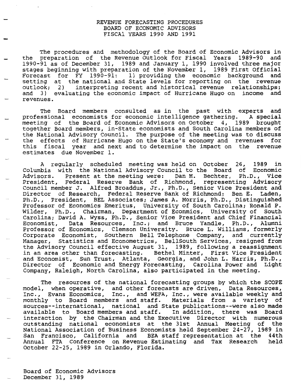## REVENUE FORECASTING PROCEDURES BOARD OF ECONOMIC ADVISORS FISCAl YEARS 1990 AND 1991

The procedures and methodology of the Board of Economic Advisors in the preparation of the Revenue Outlook for Fiscal Years 1989-90 and 1990-91 as of December 31, 1989 and January 1, 1990 involved three major stages beginning with preparation of the November 1, 1989 First Official Forecast for FY 1990-91: 1) providing the economic background and setting at the national and State levels for reporting on the revenue outlook; 2) interpreting recent and historical revenue relationships; and 3) evaluating the economic impact of Hurricane Hugo on income and revenues.

The Board members consulted as in the past with experts and professional economists for economic intelligence gathering. A special meeting of the Board of Economic Advisors on October 4, 1989 brought together Board members, in~State economists and South Carolina members of the National Advisory Council. The purpose of the meeting was to discuss the effects of Hurricane Hugo on the State's economy and revenues for this fiscal year and next and to determine the impact on the revenue estimates due November 1.

A regularly scheduled meeting was held on October 26, 1989 in Columbia with the National Advisory Council to the Board of Economic Advisors. Present at the meeting were: Dan M. Bechter, Ph.D., Vice President, Federal Reserve Bank of Richmond, representing Advisory Council member J. Alfred Broaddus, Jr., Ph.D., Senior Vice President and Director of Research, Federal Reserve Bank of Richmond; Ben E. Laden, Ph.D., President, BEL Associates; James A. Morris, Ph.D., Distinguished Professor of Economics Emeritus, University of South Carolina; Ronald P. Wilder, Ph.D., Chairman, Department of Econmics, University of South Carolina; David A. Wyss, Ph.D., Senior Vice President and Chief Financial<br>Economist, Data Resources, Inc.; and Bruce Yandle, Ph.D., Alumni Data Resources, Inc.; and Bruce Yandle, Ph.D., Alumni Professor of Economics, Clemson University. Bruce L. Williams, formerly Corporate Economist, southern Bell Telephone Company, and currently Manager, Statistics and Econometrics, BellSouth Services, resigned from the Advisory Council effective August 31, 1989, following a reassignment in an area other than forecasting. Bethel Minter, First Vice President and Economist, sun Trust, Atlanta, Georgia, and John L. Harris, Ph.D., Director of Economic and Energy Forecasting, Carolina Power and Light Company, Raleigh, North Carolina, also participated in the meeting.

The resources of the national forecasting groups by which the SCOPE model, when operative, and other forecasts are driven, Data Resources, Inc., Evans Economics, Inc., and WEFA, Inc., were available weekly and monthly to Board members and staff. Materials from a variety of sources--international, national and State publications--were also made available to Board members and staff. In addition, there was Board interaction by the Chairman and the Executive Director with numerous outstanding national economists at the 31st Annual Meeting of the National Association of Business Economists held September 24-27, 1989 in San Francisco, California and BEA staff representation at the 44th Annual FTA Conference on Revenue Estimating and Tax Research held October 22-25, 1989 in Orlando, Florida.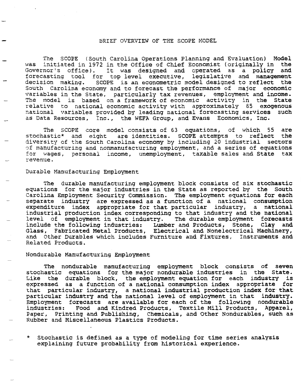#### BRIEF OVERVIEW OF THE SCOPE MODEL

The SCOPE (South Carolina Operations Planning and Evaluation) Model was initiated in 1972 in the Office of Chief Economist (originally in the Governor's office). It was designed and operated as a policy and It was designed and operated as a policy and forecasting tool for top level executive, legislative and management decision making. SCOPE is an econometric model designed to reflect the South Carolina economy and to forecast the performance of major economic variables in the State, particularly tax revenues, employment and income. The model is based on a framework of economic activity in the State relative to national economic activity with approximately 85 exogenous national variables provided by leading national forecasting services such as Data Resources, Inc., the WEFA Group, and Evans Economics, Inc.

The SCOPE core model consists of 63 equations, of which 55 are<br>astic\* and eight are identities. SCOPE attempts to reflect the stochastic\* and eight are identities. SCOPE attempts to reflect diversity of the South carolina economy by including 20 industrial sectors of manufacturing and nonmanufacturing employment, and a series of equations for wages, personal income, unemployment, taxable sales and State tax revenue.

#### Durable Manufacturing Employment

The durable manufacturing employment block consists of six stochastic equations for the major industries in the State as reported by the South carolina Employment Security Commission. The employment equations for each separate industry are expressed as a function of a national consumption expenditure index appropriate for that particular industry, a national industrial production index corresponding to that industry and the national level of employment in that industry. The durable employment forecasts include the following industries: Lumber and Products, Stone, Clay and Glass, Fabricated Metal Products, Electrical and Nonelectrical Machinery, and Other Durables which includes Furniture and Fixtures, Instruments and Related Products.

#### Nondurable Manufacturing Employment

The nondurable manufacturing employment block consists of seven stochastic equations for the major nondurable industries in the State. Like the durable block, the employment equation for each industry is expressed as a function of a national consumption index appropriate for that particular industry, a national industrial production index for-that particular industry and the national level of employment in that industry. Employment forecasts are available for each of the following nondurable industries: Food and Kindred Products. Textile Mill Products. Apparel. Food and Kindred Products, Textile Mill Products, Apparel, Paper, Printing and Publishing, Chemicals, and Other Nondurables, such as Rubber and Miscellaneous Plastics Products.

\* Stochastic is defined as a type of modeling for time series analysis explaining future probability from historical experience.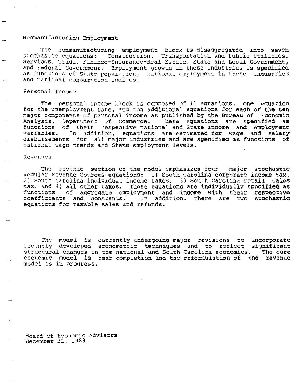### Nonmanufacturing Employment

The nonmanufacturing employment block is disaggregated into seven stochastic equations: construction, Transportation and Public Utilities, Services, Trade, Finance-Insurance-Real Estate, State and Local Government, and Federal Government. Employment growth in these industries is specified as functions of State population, national employment in these industries and national consumption indices.

#### Personal Income

The personal income block is composed of 11 equations, one equation for the unemployment rate, and ten additional equations for each of the ten major components of personal income as published by the Bureau of Economic<br>Analysis, Department of Commerce. These equations are specified as Analysis, Department of Commerce. functions of their respective national and State income and employment<br>variables. In addition, equations are estimated for wage and salary In addition, equations are estimated for wage and salary disbursements for all major industries and are specified as functions of national wage trends and State employment levels.

#### Revenues

The revenue section of the model emphasizes four major stochastic Regular Revenue Sources equations: 1) South carolina corporate income tax, 2) South Carolina individual income taxes, 3) South Carolina retail sales tax, and 4) all other taxes. These equations are individually specified as<br>functions of aggregate employment and income with their respective of aggregate employment and income with their respective coefficients and constants. In addition, there are two stochastic equations for taxable sales and refunds.

The model is currently undergoing major revisions to incorporate recently developed econometric techniques and to reflect significant<br>structural changes in the national and South Carolina economies. The core structural changes in the national and South Carolina economies. economic model is near completion and the reformulation of the revenue model is in progress.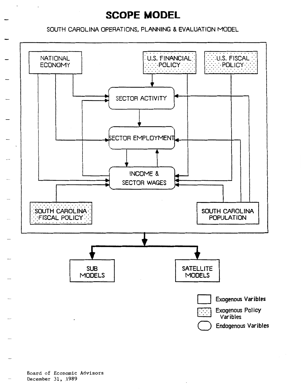# **SCOPE MODEL**

SOUTH CAROLINA OPERATIONS, PLANNING & EVALUATION MODEL

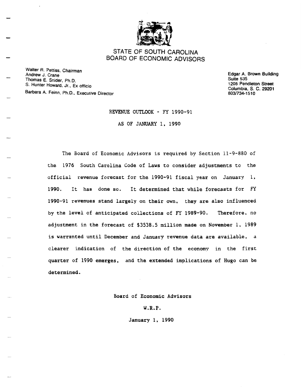

# STATE OF SOUTH CAROLINA BOARD OF ECONOMIC ADVISORS

Walter A. Pettiss, Chairman Andrew J. Crane Thomas E. Snider, Ph.D. S. Hunter Howard, Jr., Ex officio Barbara A. Feinn, Ph.D., Executive Director

Edgar A. Brown Building Suite 535 1205 Pendleton Street Columbia, S. C. 29201 803/734-151 0

#### REVENUE OUTLOOK - FY 1990-91

AS OF JANUARY 1, 1990

The Board of Economic Advisors is required by Section 11-9-880 of the 1976 South Carolina Code of Laws to consider adjustments to the official revenue forecast for the 1990-91 fiscal year on January l, 1990. It has done so. It determined that while forecasts for FY 1990-91 revenues stand largely on their own, they are also influenced by the level of anticipated collections of FY 1989-90. Therefore, no adjustment in the forecast of \$3538.5 million made on November l, 1989 is warranted until December and January revenue data are available, a clearer indication of the direction of the economy in the first quarter of 1990 emerges, and the extended implications of Hugo can be determined.

Board of Economic Advisors

W.R.P.

January 1, 1990